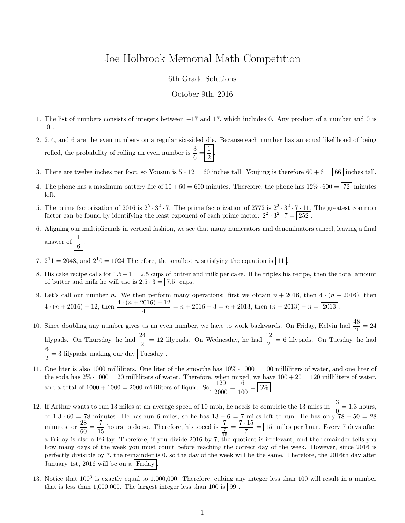## Joe Holbrook Memorial Math Competition

## 6th Grade Solutions

## October 9th, 2016

- 1. The list of numbers consists of integers between −17 and 17, which includes 0. Any product of a number and 0 is  $\mid 0 \mid$
- 2. 2, 4, and 6 are the even numbers on a regular six-sided die. Because each number has an equal likelihood of being rolled, the probability of rolling an even number is  $\frac{3}{6} = \frac{1}{2}$  $\frac{1}{2}$
- 3. There are twelve inches per foot, so Yousun is  $5 * 12 = 60$  inches tall. Youjung is therefore  $60 + 6 = 66$  inches tall.
- 4. The phone has a maximum battery life of  $10 + 60 = 600$  minutes. Therefore, the phone has  $12\% \cdot 600 = |72|$  minutes left.
- 5. The prime factorization of 2016 is  $2^5 \cdot 3^2 \cdot 7$ . The prime factorization of 2772 is  $2^2 \cdot 3^2 \cdot 7 \cdot 11$ . The greatest common factor can be found by identifying the least exponent of each prime factor:  $2^2 \cdot 3^2 \cdot 7 = 252$ .
- 6. Aligning our multiplicands in vertical fashion, we see that many numerators and denominators cancel, leaving a final answer of  $\frac{1}{6}$ .
- 7.  $2^11 = 2048$ , and  $2^10 = 1024$  Therefore, the smallest *n* satisfying the equation is [11].
- 8. His cake recipe calls for  $1.5 + 1 = 2.5$  cups of butter and milk per cake. If he triples his recipe, then the total amount of butter and milk he will use is  $2.5 \cdot 3 = |7.5|$  cups.
- 9. Let's call our number n. We then perform many operations: first we obtain  $n + 2016$ , then  $4 \cdot (n + 2016)$ , then  $4 \cdot (n+2016) - 12$ , then  $\frac{4 \cdot (n+2016) - 12}{4} = n+2016 - 3 = n+2013$ , then  $(n+2013) - n = 2013$ .
- 10. Since doubling any number gives us an even number, we have to work backwards. On Friday, Kelvin had  $\frac{48}{2} = 24$ lilypads. On Thursday, he had  $\frac{24}{2} = 12$  lilypads. On Wednesday, he had  $\frac{12}{2} = 6$  lilypads. On Tuesday, he had 6  $\frac{6}{2}$  = 3 lilypads, making our day Tuesday.
- 11. One liter is also 1000 milliliters. One liter of the smoothe has  $10\% \cdot 1000 = 100$  milliliters of water, and one liter of the soda has  $2\% \cdot 1000 = 20$  milliliters of water. Therefore, when mixed, we have  $100 + 20 = 120$  milliliters of water, and a total of  $1000 + 1000 = 2000$  milliliters of liquid. So,  $\frac{120}{2000} = \frac{6}{10}$  $\frac{6}{100} = 6\%$ .
- 12. If Arthur wants to run 13 miles at an average speed of 10 mph, he needs to complete the 13 miles in  $\frac{13}{10} = 1.3$  hours, or  $1.3 \cdot 60 = 78$  minutes. He has run 6 miles, so he has  $13 - 6 = 7$  miles left to run. He has only  $78 - 50 = 28$ minutes, or  $\frac{28}{60}$  $\frac{28}{60} = \frac{7}{15}$  $\frac{7}{15}$  hours to do so. Therefore, his speed is  $\frac{7}{15}$  $=\frac{7 \cdot 15}{7}$  $\frac{15}{7}$  =  $\boxed{15}$  miles per hour. Every 7 days after a Friday is also a Friday. Therefore, if you divide 2016 by 7, the quotient is irrelevant, and the remainder tells you how many days of the week you must count before reaching the correct day of the week. However, since 2016 is perfectly divisible by 7, the remainder is 0, so the day of the week will be the same. Therefore, the 2016th day after January 1st, 2016 will be on a Friday
- 13. Notice that  $100^3$  is exactly equal to 1,000,000. Therefore, cubing any integer less than 100 will result in a number that is less than 1,000,000. The largest integer less than 100 is  $|99|$ .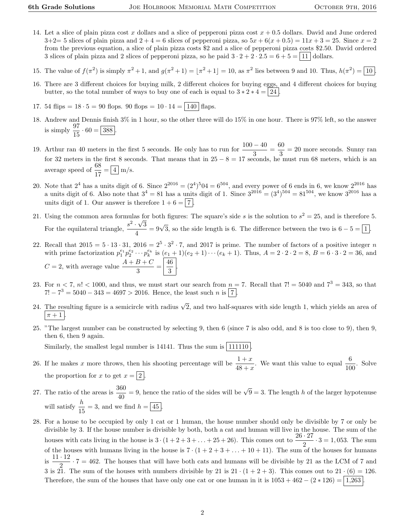- 14. Let a slice of plain pizza cost x dollars and a slice of pepperoni pizza cost  $x + 0.5$  dollars. David and June ordered  $3+2=5$  slices of plain pizza and  $2+4=6$  slices of pepperoni pizza, so  $5x+6(x+0.5)=11x+3=25$ . Since  $x=2$ from the previous equation, a slice of plain pizza costs \$2 and a slice of pepperoni pizza costs \$2.50. David ordered 3 slices of plain pizza and 2 slices of pepperoni pizza, so he paid  $3 \cdot 2 + 2 \cdot 2 \cdot 5 = 6 + 5 = |11|$  dollars.
- 15. The value of  $f(\pi^2)$  is simply  $\pi^2 + 1$ , and  $g(\pi^2 + 1) = |\pi^2 + 1| = 10$ , as  $\pi^2$  lies between 9 and 10. Thus,  $h(\pi^2) = 10$ .
- 16. There are 3 different choices for buying milk, 2 different choices for buying eggs, and 4 different choices for buying butter, so the total number of ways to buy one of each is equal to  $3 * 2 * 4 = |24|$
- 17. 54 flips =  $18 \cdot 5 = 90$  flops. 90 flops =  $10 \cdot 14 = |140|$  flaps.
- 18. Andrew and Dennis finish 3% in 1 hour, so the other three will do 15% in one hour. There is 97% left, so the answer is simply  $\frac{97}{15} \cdot 60 = 388$ .
- 19. Arthur ran 40 meters in the first 5 seconds. He only has to run for  $\frac{100 40}{3} = \frac{60}{3}$  $\frac{3}{3}$  = 20 more seconds. Sunny ran for 32 meters in the first 8 seconds. That means that in  $25 - 8 = 17$  seconds, he must run 68 meters, which is an average speed of  $\frac{68}{17} = \boxed{4}$  m/s.
- 20. Note that  $2^4$  has a units digit of 6. Since  $2^{2016} = (2^4)^5 0^4 = 6^{504}$ , and every power of 6 ends in 6, we know  $2^{2016}$  has a units digit of 6. Also note that  $3^4 = 81$  has a units digit of 1. Since  $3^{2016} = (3^4)^{504} = 81^{504}$ , we know  $3^{2016}$  has a units digit of 1. Our answer is therefore  $1+6=|7|$
- 21. Using the common area formulas for both figures: The square's side s is the solution to  $s^2 = 25$ , and is therefore 5. For the equilateral triangle,  $\frac{s^2 \cdot \sqrt{3}}{4}$  $\frac{1}{\sqrt{3}} = 9\sqrt{3}$ , so the side length is 6. The difference between the two is  $6 - 5 = 1$ .
- 22. Recall that  $2015 = 5 \cdot 13 \cdot 31$ ,  $2016 = 2^5 \cdot 3^2 \cdot 7$ , and 2017 is prime. The number of factors of a positive integer n with prime factorization  $p_1^{e_1} p_2^{e_2} \cdots p_k^{e_k}$  is  $(e_1 + 1)(e_2 + 1) \cdots (e_k + 1)$ . Thus,  $A = 2 \cdot 2 \cdot 2 = 8$ ,  $B = 6 \cdot 3 \cdot 2 = 36$ , and  $C = 2$ , with average value  $\frac{A+B+C}{3} = \frac{46}{3}$  $\frac{15}{3}$
- 23. For  $n < 7$ ,  $n! < 1000$ , and thus, we must start our search from  $n = 7$ . Recall that  $7! = 5040$  and  $7^3 = 343$ , so that  $7! - 7^3 = 5040 - 343 = 4697 > 2016$ . Hence, the least such n is  $\boxed{7}$ .
- 24. The resulting figure is a semicircle with radius  $\sqrt{2}$ , and two half-squares with side length 1, which yields an area of  $\pi + 1$
- 25. "The largest number can be constructed by selecting 9, then 6 (since 7 is also odd, and 8 is too close to 9), then 9, then 6, then 9 again.

Similarly, the smallest legal number is  $14141$ . Thus the sum is  $|111110|$ .

- 26. If he makes x more throws, then his shooting percentage will be  $\frac{1+x}{48+x}$ . We want this value to equal  $\frac{6}{100}$ . Solve the proportion for x to get  $x = \boxed{2}$
- 27. The ratio of the areas is  $\frac{360}{40} = 9$ , hence the ratio of the sides will be  $\sqrt{9} = 3$ . The length h of the larger hypotenuse will satisfy  $\frac{h}{15} = 3$ , and we find  $h = \boxed{45}$ .
- 28. For a house to be occupied by only 1 cat or 1 human, the house number should only be divisible by 7 or only be divisible by 3. If the house number is divisible by both, both a cat and human will live in the house. The sum of the houses with cats living in the house is  $3 \cdot (1 + 2 + 3 + \ldots + 25 + 26)$ . This comes out to  $\frac{26 \cdot 27}{2} \cdot 3 = 1,053$ . The sum of the houses with humans living in the house is  $7 \cdot (1 + 2 + 3 + \ldots + 10 + 11)$ . The sum of the houses for humans is  $\frac{11 \cdot 12}{2}$  $\frac{12}{2} \cdot 7 = 462$ . The houses that will have both cats and humans will be divisible by 21 as the LCM of 7 and 3 is 21. The sum of the houses with numbers divisible by 21 is  $21 \cdot (1 + 2 + 3)$ . This comes out to  $21 \cdot (6) = 126$ . Therefore, the sum of the houses that have only one cat or one human in it is  $1053 + 462 - (2 \times 126) = |1,263|$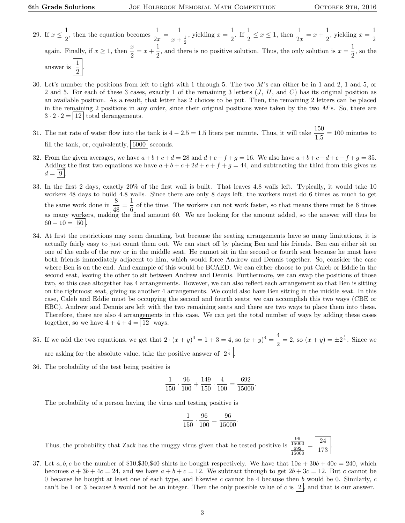.

- 29. If  $x \leq \frac{1}{2}$  $\frac{1}{2}$ , then the equation becomes  $\frac{1}{2x} = \frac{1}{x+1}$  $x+\frac{1}{2}$ , yielding  $x = \frac{1}{2}$  $\frac{1}{2}$ . If  $\frac{1}{2} \le x \le 1$ , then  $\frac{1}{2x} = x + \frac{1}{2}$  $\frac{1}{2}$ , yielding  $x = \frac{1}{2}$ 2 again. Finally, if  $x \ge 1$ , then  $\frac{x}{2} = x + \frac{1}{2}$  $\frac{1}{2}$ , and there is no positive solution. Thus, the only solution is  $x = \frac{1}{2}$  $\frac{1}{2}$ , so the answer is  $\frac{1}{2}$  $rac{1}{2}$ .
- 30. Let's number the positions from left to right with 1 through 5. The two M's can either be in 1 and 2, 1 and 5, or 2 and 5. For each of these 3 cases, exactly 1 of the remaining 3 letters  $(J, H, \text{ and } C)$  has its original position as an available position. As a result, that letter has 2 choices to be put. Then, the remaining 2 letters can be placed in the remaining 2 positions in any order, since their original positions were taken by the two  $M$ 's. So, there are  $3 \cdot 2 \cdot 2 = |12|$  total derangements.
- 31. The net rate of water flow into the tank is  $4 2.5 = 1.5$  liters per minute. Thus, it will take  $\frac{150}{1.5} = 100$  minutes to fill the tank, or, equivalently,  $6000$  seconds.
- 32. From the given averages, we have  $a+b+c+d=28$  and  $d+e+f+g=16$ . We also have  $a+b+c+d+e+f+g=35$ . Adding the first two equations we have  $a + b + c + 2d + e + f + g = 44$ , and subtracting the third from this gives us  $d = |9|$ .
- 33. In the first 2 days, exactly 20% of the first wall is built. That leaves 4.8 walls left. Typically, it would take 10 workers 48 days to build 4.8 walls. Since there are only 8 days left, the workers must do 6 times as much to get the same work done in  $\frac{8}{48} = \frac{1}{6}$  $\frac{1}{6}$  of the time. The workers can not work faster, so that means there must be 6 times as many workers, making the final amount 60. We are looking for the amount added, so the answer will thus be  $60 - 10 = 50$
- 34. At first the restrictions may seem daunting, but because the seating arrangements have so many limitations, it is actually fairly easy to just count them out. We can start off by placing Ben and his friends. Ben can either sit on one of the ends of the row or in the middle seat. He cannot sit in the second or fourth seat because he must have both friends immediately adjacent to him, which would force Andrew and Dennis together. So, consider the case where Ben is on the end. And example of this would be BCAED. We can either choose to put Caleb or Eddie in the second seat, leaving the other to sit between Andrew and Dennis. Furthermore, we can swap the positions of those two, so this case altogether has 4 arrangements. However, we can also reflect each arrangement so that Ben is sitting on the rightmost seat, giving us another 4 arrangements. We could also have Ben sitting in the middle seat. In this case, Caleb and Eddie must be occupying the second and fourth seats; we can accomplish this two ways (CBE or EBC). Andrew and Dennis are left with the two remaining seats and there are two ways to place them into these. Therefore, there are also 4 arrangements in this case. We can get the total number of ways by adding these cases together, so we have  $4 + 4 + 4 = |12|$  ways.
- 35. If we add the two equations, we get that  $2 \cdot (x+y)^4 = 1 + 3 = 4$ , so  $(x+y)^4 = \frac{4}{3}$  $\frac{4}{2}$  = 2, so  $(x + y) = \pm 2^{\frac{1}{4}}$ . Since we are asking for the absolute value, take the positive answer of  $2^{\frac{1}{4}}$ .
- 36. The probability of the test being positive is

$$
\frac{1}{150} \cdot \frac{96}{100} + \frac{149}{150} \cdot \frac{4}{100} = \frac{692}{15000}.
$$

The probability of a person having the virus and testing positive is

$$
\frac{1}{150} \cdot \frac{96}{100} = \frac{96}{15000}.
$$

Thus, the probability that Zack has the muggy virus given that he tested positive is 96 15000 692 15000 = 24 173

37. Let  $a, b, c$  be the number of \$10,\$30,\$40 shirts he bought respectively. We have that  $10a + 30b + 40c = 240$ , which becomes  $a + 3b + 4c = 24$ , and we have  $a + b + c = 12$ . We subtract through to get  $2b + 3c = 12$ . But c cannot be 0 because he bought at least one of each type, and likewise c cannot be 4 because then b would be 0. Similarly,  $c$ can't be 1 or 3 because b would not be an integer. Then the only possible value of c is  $|2|$ , and that is our answer.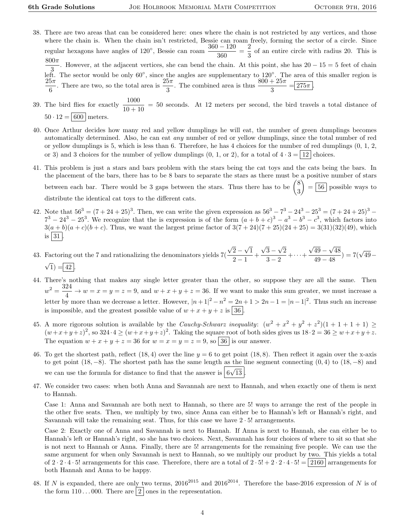- 38. There are two areas that can be considered here: ones where the chain is not restricted by any vertices, and those where the chain is. When the chain isn't restricted, Bessie can roam freely, forming the sector of a circle. Since regular hexagons have angles of 120<sup>°</sup>, Bessie can roam  $\frac{360 - 120}{360} = \frac{2}{3}$  $\frac{2}{3}$  of an entire circle with radius 20. This is  $\frac{800\pi}{2}$ . However, at the adjacent vertices, she can bend the chain. At this point, she has 20 – 15 = 5 feet of chain 3<br>left. The sector would be only 60°, since the angles are supplementary to 120°. The area of this smaller region is  $25\pi$  $\frac{5\pi}{6}$ . There are two, so the total area is  $\frac{25\pi}{3}$ . The combined area is thus  $\frac{800 + 25\pi}{3} = 275\pi$ .
- 39. The bird flies for exactly  $\frac{1000}{10+10}$  = 50 seconds. At 12 meters per second, the bird travels a total distance of  $50 \cdot 12 = | 600 |$  meters.
- 40. Once Arthur decides how many red and yellow dumplings he will eat, the number of green dumplings becomes automatically determined. Also, he can eat any number of red or yellow dumplings, since the total number of red or yellow dumplings is 5, which is less than 6. Therefore, he has 4 choices for the number of red dumplings  $(0, 1, 2, 1)$ or 3) and 3 choices for the number of yellow dumplings  $(0, 1, \text{or } 2)$ , for a total of  $4 \cdot 3 = |12|$  choices.
- 41. This problem is just a stars and bars problem with the stars being the cat toys and the cats being the bars. In the placement of the bars, there has to be 8 bars to separate the stars as there must be a positive number of stars between each bar. There would be 3 gaps between the stars. Thus there has to be  $\binom{8}{3}$ 3  $\Big) = 56$  possible ways to distribute the identical cat toys to the different cats.
- 42. Note that  $56^3 = (7 + 24 + 25)^3$ . Then, we can write the given expression as  $56^3 7^3 24^3 25^3 = (7 + 24 + 25)^3 7^3 - 24^3 - 25^3$ . We recognize that the is expression is of the form  $(a + b + c)^3 - a^3 - b^3 - c^3$ , which factors into  $3(a + b)(a + c)(b + c)$ . Thus, we want the largest prime factor of  $3(7 + 24)(7 + 25)(24 + 25) = 3(31)(32)(49)$ , which is  $|31|$ .
- 43. Factoring out the 7 and rationalizing the denominators yields 7( √  $\overline{2}$   $-$ √ 1  $\frac{2}{2-1}$  + √ 3 − √ 2  $\frac{3-2}{3-2} + \cdots +$ √ 49 − √ 48  $\sqrt{\frac{49}{49} - \sqrt{48}}$ ) = 7( $\sqrt{49}$ -√  $\sqrt{1}$  = 42
- 44. There's nothing that makes any single letter greater than the other, so suppose they are all the same. Then  $w^2 = \frac{324}{4}$  $\frac{24}{4} \rightarrow w = x = y = z = 9$ , and  $w + x + y + z = 36$ . If we want to make this sum greater, we must increase a letter by more than we decrease a letter. However,  $|n+1|^2 - n^2 = 2n + 1 > 2n - 1 = |n-1|^2$ . Thus such an increase is impossible, and the greatest possible value of  $w + x + y + z$  is  $\boxed{36}$
- 45. A more rigorous solution is available by the *Cauchy-Schwarz inequality*:  $(w^2 + x^2 + y^2 + z^2)(1 + 1 + 1 + 1) \ge$  $(w+x+y+z)^2$ , so  $324\cdot 4 \ge (w+x+y+z)^2$ . Taking the square root of both sides gives us  $18\cdot 2 = 36 \ge w+x+y+z$ . The equation  $w + x + y + z = 36$  for  $w = x = y = z = 9$ , so 36 is our answer.
- 46. To get the shortest path, reflect  $(18, 4)$  over the line  $y = 6$  to get point  $(18, 8)$ . Then reflect it again over the x-axis to get point  $(18, -8)$ . The shortest path has the same length as the line segment connecting  $(0, 4)$  to  $(18, -8)$  and we can use the formula for distance to find that the answer is  $\boxed{6\sqrt{13}}$ .
- 47. We consider two cases: when both Anna and Savannah are next to Hannah, and when exactly one of them is next to Hannah.

Case 1: Anna and Savannah are both next to Hannah, so there are 5! ways to arrange the rest of the people in the other five seats. Then, we multiply by two, since Anna can either be to Hannah's left or Hannah's right, and Savannah will take the remaining seat. Thus, for this case we have  $2 \cdot 5!$  arrangements.

Case 2: Exactly one of Anna and Savannah is next to Hannah. If Anna is next to Hannah, she can either be to Hannah's left or Hannah's right, so she has two choices. Next, Savannah has four choices of where to sit so that she is not next to Hannah or Anna. Finally, there are 5! arrangements for the remaining five people. We can use the same argument for when only Savannah is next to Hannah, so we multiply our product by two. This yields a total of  $2 \cdot 2 \cdot 4 \cdot 5!$  arrangements for this case. Therefore, there are a total of  $2 \cdot 5! + 2 \cdot 2 \cdot 4 \cdot 5! = |2160|$  arrangements for both Hannah and Anna to be happy.

48. If N is expanded, there are only two terms,  $2016^{2015}$  and  $2016^{2014}$ . Therefore the base-2016 expression of N is of the form  $110...000$ . There are  $\boxed{2}$  ones in the representation.